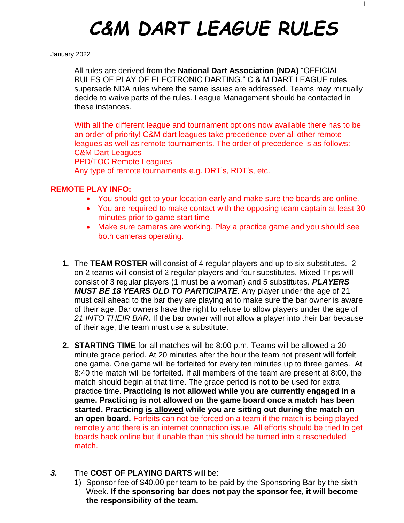# *C&M DART LEAGUE RULES*

#### January 2022

All rules are derived from the **National Dart Association (NDA)** "OFFICIAL RULES OF PLAY OF ELECTRONIC DARTING." C & M DART LEAGUE rules supersede NDA rules where the same issues are addressed. Teams may mutually decide to waive parts of the rules. League Management should be contacted in these instances.

With all the different league and tournament options now available there has to be an order of priority! C&M dart leagues take precedence over all other remote leagues as well as remote tournaments. The order of precedence is as follows: C&M Dart Leagues PPD/TOC Remote Leagues Any type of remote tournaments e.g. DRT's, RDT's, etc.

#### **REMOTE PLAY INFO:**

- You should get to your location early and make sure the boards are online.
- You are required to make contact with the opposing team captain at least 30 minutes prior to game start time
- Make sure cameras are working. Play a practice game and you should see both cameras operating.
- **1.** The **TEAM ROSTER** will consist of 4 regular players and up to six substitutes. 2 on 2 teams will consist of 2 regular players and four substitutes. Mixed Trips will consist of 3 regular players (1 must be a woman) and 5 substitutes. *PLAYERS MUST BE 18 YEARS OLD TO PARTICIPATE*. Any player under the age of 21 must call ahead to the bar they are playing at to make sure the bar owner is aware of their age. Bar owners have the right to refuse to allow players under the age of *21 INTO THEIR BAR.* If the bar owner will not allow a player into their bar because of their age, the team must use a substitute.
- **2. STARTING TIME** for all matches will be 8:00 p.m. Teams will be allowed a 20 minute grace period. At 20 minutes after the hour the team not present will forfeit one game. One game will be forfeited for every ten minutes up to three games. At 8:40 the match will be forfeited. If all members of the team are present at 8:00, the match should begin at that time. The grace period is not to be used for extra practice time. **Practicing is not allowed while you are currently engaged in a game. Practicing is not allowed on the game board once a match has been started. Practicing is allowed while you are sitting out during the match on an open board.** Forfeits can not be forced on a team if the match is being played remotely and there is an internet connection issue. All efforts should be tried to get boards back online but if unable than this should be turned into a rescheduled match.

# *3.* The **COST OF PLAYING DARTS** will be:

1) Sponsor fee of \$40.00 per team to be paid by the Sponsoring Bar by the sixth Week. **If the sponsoring bar does not pay the sponsor fee, it will become the responsibility of the team.**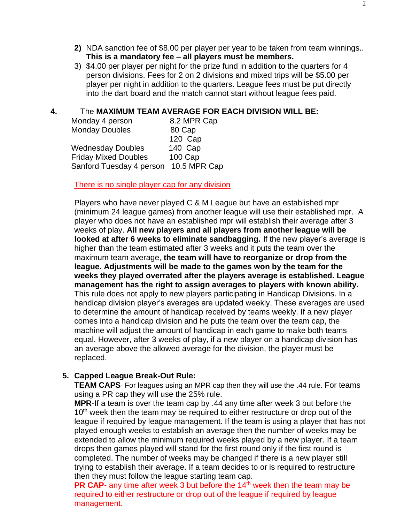- **2)** NDA sanction fee of \$8.00 per player per year to be taken from team winnings.. **This is a mandatory fee – all players must be members.**
- 3) \$4.00 per player per night for the prize fund in addition to the quarters for 4 person divisions. Fees for 2 on 2 divisions and mixed trips will be \$5.00 per player per night in addition to the quarters. League fees must be put directly into the dart board and the match cannot start without league fees paid.

### **4.** The **MAXIMUM TEAM AVERAGE FOR EACH DIVISION WILL BE:**

| Monday 4 person             | 8.2 MPR Cap  |
|-----------------------------|--------------|
| <b>Monday Doubles</b>       | 80 Cap       |
|                             | 120 Cap      |
| <b>Wednesday Doubles</b>    | 140 Cap      |
| <b>Friday Mixed Doubles</b> | 100 Cap      |
| Sanford Tuesday 4 person    | 10.5 MPR Cap |

#### There is no single player cap for any division

Players who have never played C & M League but have an established mpr (minimum 24 league games) from another league will use their established mpr. A player who does not have an established mpr will establish their average after 3 weeks of play. **All new players and all players from another league will be looked at after 6 weeks to eliminate sandbagging.** If the new player's average is higher than the team estimated after 3 weeks and it puts the team over the maximum team average, **the team will have to reorganize or drop from the league. Adjustments will be made to the games won by the team for the weeks they played overrated after the players average is established. League management has the right to assign averages to players with known ability.** This rule does not apply to new players participating in Handicap Divisions. In a handicap division player's averages are updated weekly. These averages are used to determine the amount of handicap received by teams weekly. If a new player comes into a handicap division and he puts the team over the team cap, the machine will adjust the amount of handicap in each game to make both teams equal. However, after 3 weeks of play, if a new player on a handicap division has an average above the allowed average for the division, the player must be replaced.

# **5. Capped League Break-Out Rule:**

**TEAM CAPS**- For leagues using an MPR cap then they will use the .44 rule. For teams using a PR cap they will use the 25% rule.

**MPR**-If a team is over the team cap by .44 any time after week 3 but before the 10<sup>th</sup> week then the team may be required to either restructure or drop out of the league if required by league management. If the team is using a player that has not played enough weeks to establish an average then the number of weeks may be extended to allow the minimum required weeks played by a new player. If a team drops then games played will stand for the first round only if the first round is completed. The number of weeks may be changed if there is a new player still trying to establish their average. If a team decides to or is required to restructure then they must follow the league starting team cap.

**PR CAP-** any time after week 3 but before the 14<sup>th</sup> week then the team may be required to either restructure or drop out of the league if required by league management.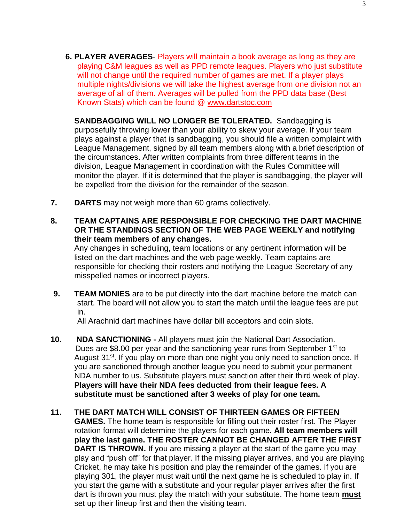**6. PLAYER AVERAGES**- Players will maintain a book average as long as they are playing C&M leagues as well as PPD remote leagues. Players who just substitute will not change until the required number of games are met. If a player plays multiple nights/divisions we will take the highest average from one division not an average of all of them. Averages will be pulled from the PPD data base (Best Known Stats) which can be found @ [www.dartstoc.com](http://www.dartstoc.com/)

**SANDBAGGING WILL NO LONGER BE TOLERATED.** Sandbagging is purposefully throwing lower than your ability to skew your average. If your team plays against a player that is sandbagging, you should file a written complaint with League Management, signed by all team members along with a brief description of the circumstances. After written complaints from three different teams in the division, League Management in coordination with the Rules Committee will monitor the player. If it is determined that the player is sandbagging, the player will be expelled from the division for the remainder of the season.

- **7. DARTS** may not weigh more than 60 grams collectively.
- **8. TEAM CAPTAINS ARE RESPONSIBLE FOR CHECKING THE DART MACHINE OR THE STANDINGS SECTION OF THE WEB PAGE WEEKLY and notifying their team members of any changes.**

Any changes in scheduling, team locations or any pertinent information will be listed on the dart machines and the web page weekly. Team captains are responsible for checking their rosters and notifying the League Secretary of any misspelled names or incorrect players.

**9. TEAM MONIES** are to be put directly into the dart machine before the match can start. The board will not allow you to start the match until the league fees are put in.

All Arachnid dart machines have dollar bill acceptors and coin slots.

- **10. NDA SANCTIONING -** All players must join the National Dart Association. Dues are \$8.00 per year and the sanctioning year runs from September  $1<sup>st</sup>$  to August 31<sup>st</sup>. If you play on more than one night you only need to sanction once. If you are sanctioned through another league you need to submit your permanent NDA number to us. Substitute players must sanction after their third week of play. **Players will have their NDA fees deducted from their league fees. A substitute must be sanctioned after 3 weeks of play for one team.**
- **11. THE DART MATCH WILL CONSIST OF THIRTEEN GAMES OR FIFTEEN GAMES.** The home team is responsible for filling out their roster first. The Player rotation format will determine the players for each game. **All team members will play the last game. THE ROSTER CANNOT BE CHANGED AFTER THE FIRST DART IS THROWN.** If you are missing a player at the start of the game you may play and "push off" for that player. If the missing player arrives, and you are playing Cricket, he may take his position and play the remainder of the games. If you are playing 301, the player must wait until the next game he is scheduled to play in. If you start the game with a substitute and your regular player arrives after the first dart is thrown you must play the match with your substitute. The home team **must** set up their lineup first and then the visiting team.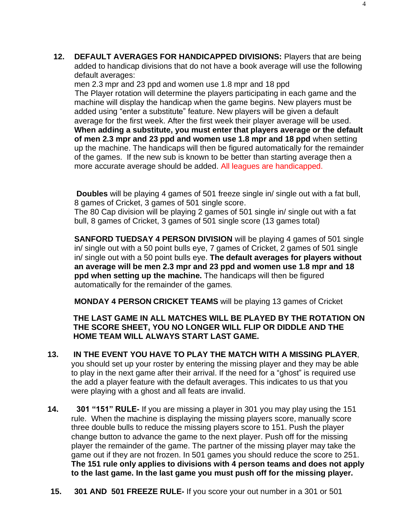**12. DEFAULT AVERAGES FOR HANDICAPPED DIVISIONS:** Players that are being added to handicap divisions that do not have a book average will use the following default averages:

men 2.3 mpr and 23 ppd and women use 1.8 mpr and 18 ppd The Player rotation will determine the players participating in each game and the machine will display the handicap when the game begins. New players must be added using "enter a substitute" feature. New players will be given a default average for the first week. After the first week their player average will be used. **When adding a substitute, you must enter that players average or the default of men 2.3 mpr and 23 ppd and women use 1.8 mpr and 18 ppd** when setting up the machine. The handicaps will then be figured automatically for the remainder of the games. If the new sub is known to be better than starting average then a more accurate average should be added. All leagues are handicapped.

**Doubles** will be playing 4 games of 501 freeze single in/ single out with a fat bull, 8 games of Cricket, 3 games of 501 single score.

The 80 Cap division will be playing 2 games of 501 single in/ single out with a fat bull, 8 games of Cricket, 3 games of 501 single score (13 games total)

**SANFORD TUEDSAY 4 PERSON DIVISION** will be playing 4 games of 501 single in/ single out with a 50 point bulls eye, 7 games of Cricket, 2 games of 501 single in/ single out with a 50 point bulls eye. **The default averages for players without an average will be men 2.3 mpr and 23 ppd and women use 1.8 mpr and 18 ppd when setting up the machine.** The handicaps will then be figured automatically for the remainder of the games.

**MONDAY 4 PERSON CRICKET TEAMS** will be playing 13 games of Cricket

# **THE LAST GAME IN ALL MATCHES WILL BE PLAYED BY THE ROTATION ON THE SCORE SHEET, YOU NO LONGER WILL FLIP OR DIDDLE AND THE HOME TEAM WILL ALWAYS START LAST GAME.**

- **13. IN THE EVENT YOU HAVE TO PLAY THE MATCH WITH A MISSING PLAYER**, you should set up your roster by entering the missing player and they may be able to play in the next game after their arrival. If the need for a "ghost" is required use the add a player feature with the default averages. This indicates to us that you were playing with a ghost and all feats are invalid.
- **14. 301 "151" RULE-** If you are missing a player in 301 you may play using the 151 rule. When the machine is displaying the missing players score, manually score three double bulls to reduce the missing players score to 151. Push the player change button to advance the game to the next player. Push off for the missing player the remainder of the game. The partner of the missing player may take the game out if they are not frozen. In 501 games you should reduce the score to 251. **The 151 rule only applies to divisions with 4 person teams and does not apply to the last game. In the last game you must push off for the missing player.**
- **15. 301 AND 501 FREEZE RULE-** If you score your out number in a 301 or 501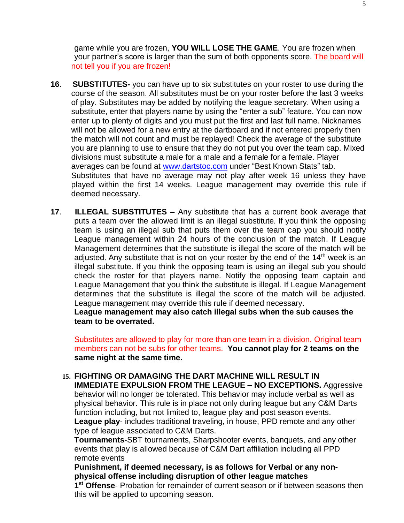game while you are frozen, **YOU WILL LOSE THE GAME**. You are frozen when your partner's score is larger than the sum of both opponents score. The board will not tell you if you are frozen!

- **16**. **SUBSTITUTES-** you can have up to six substitutes on your roster to use during the course of the season. All substitutes must be on your roster before the last 3 weeks of play. Substitutes may be added by notifying the league secretary. When using a substitute, enter that players name by using the "enter a sub" feature. You can now enter up to plenty of digits and you must put the first and last full name. Nicknames will not be allowed for a new entry at the dartboard and if not entered properly then the match will not count and must be replayed! Check the average of the substitute you are planning to use to ensure that they do not put you over the team cap. Mixed divisions must substitute a male for a male and a female for a female. Player averages can be found at [www.dartstoc.com](http://www.dartstoc.com/) under "Best Known Stats" tab. Substitutes that have no average may not play after week 16 unless they have played within the first 14 weeks. League management may override this rule if deemed necessary.
- **17**. **ILLEGAL SUBSTITUTES –** Any substitute that has a current book average that puts a team over the allowed limit is an illegal substitute. If you think the opposing team is using an illegal sub that puts them over the team cap you should notify League management within 24 hours of the conclusion of the match. If League Management determines that the substitute is illegal the score of the match will be adjusted. Any substitute that is not on your roster by the end of the  $14<sup>th</sup>$  week is an illegal substitute. If you think the opposing team is using an illegal sub you should check the roster for that players name. Notify the opposing team captain and League Management that you think the substitute is illegal. If League Management determines that the substitute is illegal the score of the match will be adjusted. League management may override this rule if deemed necessary.

**League management may also catch illegal subs when the sub causes the team to be overrated.**

Substitutes are allowed to play for more than one team in a division. Original team members can not be subs for other teams. **You cannot play for 2 teams on the same night at the same time.**

**15. FIGHTING OR DAMAGING THE DART MACHINE WILL RESULT IN IMMEDIATE EXPULSION FROM THE LEAGUE – NO EXCEPTIONS.** Aggressive behavior will no longer be tolerated. This behavior may include verbal as well as physical behavior. This rule is in place not only during league but any C&M Darts function including, but not limited to, league play and post season events. **League play**- includes traditional traveling, in house, PPD remote and any other type of league associated to C&M Darts.

**Tournaments**-SBT tournaments, Sharpshooter events, banquets, and any other events that play is allowed because of C&M Dart affiliation including all PPD remote events

**Punishment, if deemed necessary, is as follows for Verbal or any nonphysical offense including disruption of other league matches**

**1 st Offense**- Probation for remainder of current season or if between seasons then this will be applied to upcoming season.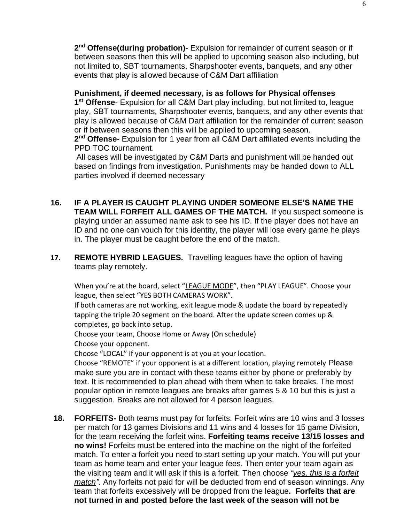2<sup>nd</sup> Offense(during probation)- Expulsion for remainder of current season or if between seasons then this will be applied to upcoming season also including, but not limited to, SBT tournaments, Sharpshooter events, banquets, and any other events that play is allowed because of C&M Dart affiliation

**Punishment, if deemed necessary, is as follows for Physical offenses 1 st Offense**- Expulsion for all C&M Dart play including, but not limited to, league play, SBT tournaments, Sharpshooter events, banquets, and any other events that play is allowed because of C&M Dart affiliation for the remainder of current season or if between seasons then this will be applied to upcoming season.

**2 nd Offense**- Expulsion for 1 year from all C&M Dart affiliated events including the PPD TOC tournament.

All cases will be investigated by C&M Darts and punishment will be handed out based on findings from investigation. Punishments may be handed down to ALL parties involved if deemed necessary

- **16. IF A PLAYER IS CAUGHT PLAYING UNDER SOMEONE ELSE'S NAME THE TEAM WILL FORFEIT ALL GAMES OF THE MATCH.** If you suspect someone is playing under an assumed name ask to see his ID. If the player does not have an ID and no one can vouch for this identity, the player will lose every game he plays in. The player must be caught before the end of the match.
- **17. REMOTE HYBRID LEAGUES.** Travelling leagues have the option of having teams play remotely.

When you're at the board, select "LEAGUE MODE", then "PLAY LEAGUE". Choose your league, then select "YES BOTH CAMERAS WORK".

If both cameras are not working, exit league mode & update the board by repeatedly tapping the triple 20 segment on the board. After the update screen comes up & completes, go back into setup.

Choose your team, Choose Home or Away (On schedule) Choose your opponent.

Choose "LOCAL" if your opponent is at you at your location.

Choose "REMOTE" if your opponent is at a different location, playing remotely Please make sure you are in contact with these teams either by phone or preferably by text. It is recommended to plan ahead with them when to take breaks. The most popular option in remote leagues are breaks after games 5 & 10 but this is just a suggestion. Breaks are not allowed for 4 person leagues.

**18. FORFEITS-** Both teams must pay for forfeits. Forfeit wins are 10 wins and 3 losses per match for 13 games Divisions and 11 wins and 4 losses for 15 game Division, for the team receiving the forfeit wins. **Forfeiting teams receive 13/15 losses and no wins!** Forfeits must be entered into the machine on the night of the forfeited match. To enter a forfeit you need to start setting up your match. You will put your team as home team and enter your league fees. Then enter your team again as the visiting team and it will ask if this is a forfeit. Then choose *"yes, this is a forfeit match".* Any forfeits not paid for will be deducted from end of season winnings. Any team that forfeits excessively will be dropped from the league**. Forfeits that are not turned in and posted before the last week of the season will not be**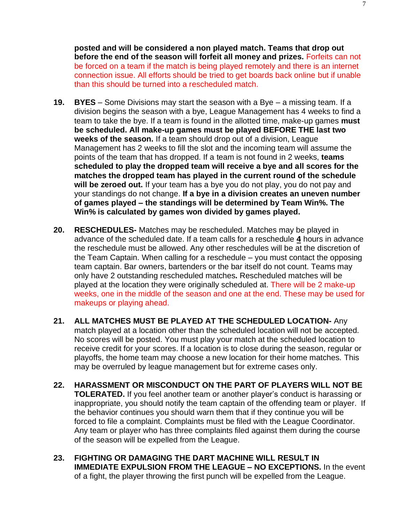**posted and will be considered a non played match. Teams that drop out before the end of the season will forfeit all money and prizes.** Forfeits can not be forced on a team if the match is being played remotely and there is an internet connection issue. All efforts should be tried to get boards back online but if unable than this should be turned into a rescheduled match.

- **19. BYES**  Some Divisions may start the season with a Bye a missing team. If a division begins the season with a bye, League Management has 4 weeks to find a team to take the bye. If a team is found in the allotted time, make-up games **must be scheduled. All make-up games must be played BEFORE THE last two weeks of the season.** If a team should drop out of a division, League Management has 2 weeks to fill the slot and the incoming team will assume the points of the team that has dropped. If a team is not found in 2 weeks, **teams scheduled to play the dropped team will receive a bye and all scores for the matches the dropped team has played in the current round of the schedule will be zeroed out.** If your team has a bye you do not play, you do not pay and your standings do not change. **If a bye in a division creates an uneven number of games played – the standings will be determined by Team Win%. The Win% is calculated by games won divided by games played.**
- **20. RESCHEDULES-** Matches may be rescheduled. Matches may be played in advance of the scheduled date. If a team calls for a reschedule **4** hours in advance the reschedule must be allowed. Any other reschedules will be at the discretion of the Team Captain. When calling for a reschedule – you must contact the opposing team captain. Bar owners, bartenders or the bar itself do not count. Teams may only have 2 outstanding rescheduled matches**.** Rescheduled matches will be played at the location they were originally scheduled at. There will be 2 make-up weeks, one in the middle of the season and one at the end. These may be used for makeups or playing ahead.
- **21. ALL MATCHES MUST BE PLAYED AT THE SCHEDULED LOCATION-** Any match played at a location other than the scheduled location will not be accepted. No scores will be posted. You must play your match at the scheduled location to receive credit for your scores. If a location is to close during the season, regular or playoffs, the home team may choose a new location for their home matches. This may be overruled by league management but for extreme cases only.
- **22. HARASSMENT OR MISCONDUCT ON THE PART OF PLAYERS WILL NOT BE TOLERATED.** If you feel another team or another player's conduct is harassing or inappropriate, you should notify the team captain of the offending team or player. If the behavior continues you should warn them that if they continue you will be forced to file a complaint. Complaints must be filed with the League Coordinator. Any team or player who has three complaints filed against them during the course of the season will be expelled from the League.
- **23. FIGHTING OR DAMAGING THE DART MACHINE WILL RESULT IN IMMEDIATE EXPULSION FROM THE LEAGUE – NO EXCEPTIONS.** In the event of a fight, the player throwing the first punch will be expelled from the League.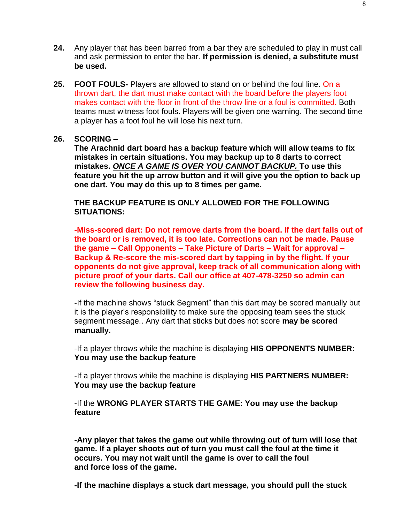- **24.** Any player that has been barred from a bar they are scheduled to play in must call and ask permission to enter the bar. **If permission is denied, a substitute must be used.**
- **25. FOOT FOULS-** Players are allowed to stand on or behind the foul line. On a thrown dart, the dart must make contact with the board before the players foot makes contact with the floor in front of the throw line or a foul is committed. Both teams must witness foot fouls. Players will be given one warning. The second time a player has a foot foul he will lose his next turn.

#### **26. SCORING –**

**The Arachnid dart board has a backup feature which will allow teams to fix mistakes in certain situations. You may backup up to 8 darts to correct mistakes.** *ONCE A GAME IS OVER YOU CANNOT BACKUP.* **To use this feature you hit the up arrow button and it will give you the option to back up one dart. You may do this up to 8 times per game.**

**THE BACKUP FEATURE IS ONLY ALLOWED FOR THE FOLLOWING SITUATIONS:**

**-Miss-scored dart: Do not remove darts from the board. If the dart falls out of the board or is removed, it is too late. Corrections can not be made. Pause the game – Call Opponents – Take Picture of Darts – Wait for approval – Backup & Re-score the mis-scored dart by tapping in by the flight. If your opponents do not give approval, keep track of all communication along with picture proof of your darts. Call our office at 407-478-3250 so admin can review the following business day.**

-If the machine shows "stuck Segment" than this dart may be scored manually but it is the player's responsibility to make sure the opposing team sees the stuck segment message.. Any dart that sticks but does not score **may be scored manually.** 

-If a player throws while the machine is displaying **HIS OPPONENTS NUMBER: You may use the backup feature**

-If a player throws while the machine is displaying **HIS PARTNERS NUMBER: You may use the backup feature**

-If the **WRONG PLAYER STARTS THE GAME: You may use the backup feature**

**-Any player that takes the game out while throwing out of turn will lose that game. If a player shoots out of turn you must call the foul at the time it occurs. You may not wait until the game is over to call the foul and force loss of the game.**

**-If the machine displays a stuck dart message, you should pull the stuck**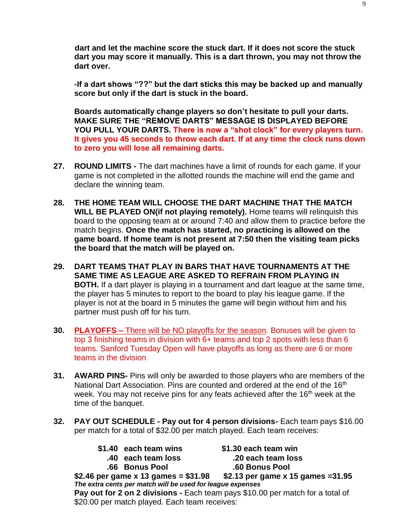**dart and let the machine score the stuck dart. If it does not score the stuck dart you may score it manually. This is a dart thrown, you may not throw the dart over.**

**-If a dart shows "??" but the dart sticks this may be backed up and manually score but only if the dart is stuck in the board.**

**Boards automatically change players so don't hesitate to pull your darts. MAKE SURE THE "REMOVE DARTS" MESSAGE IS DISPLAYED BEFORE YOU PULL YOUR DARTS. There is now a "shot clock" for every players turn. It gives you 45 seconds to throw each dart. If at any time the clock runs down to zero you will lose all remaining darts.**

- **27. ROUND LIMITS -** The dart machines have a limit of rounds for each game. If your game is not completed in the allotted rounds the machine will end the game and declare the winning team.
- **28. THE HOME TEAM WILL CHOOSE THE DART MACHINE THAT THE MATCH WILL BE PLAYED ON(if not playing remotely).** Home teams will relinquish this board to the opposing team at or around 7:40 and allow them to practice before the match begins. **Once the match has started, no practicing is allowed on the game board. If home team is not present at 7:50 then the visiting team picks the board that the match will be played on.**
- **29. DART TEAMS THAT PLAY IN BARS THAT HAVE TOURNAMENTS AT THE SAME TIME AS LEAGUE ARE ASKED TO REFRAIN FROM PLAYING IN BOTH.** If a dart player is playing in a tournament and dart league at the same time, the player has 5 minutes to report to the board to play his league game. If the player is not at the board in 5 minutes the game will begin without him and his partner must push off for his turn.
- **30. PLAYOFFS –** There will be NO playoffs for the season. Bonuses will be given to top 3 finishing teams in division with 6+ teams and top 2 spots with less than 6 teams. Sanford Tuesday Open will have playoffs as long as there are 6 or more teams in the division
- **31. AWARD PINS-** Pins will only be awarded to those players who are members of the National Dart Association. Pins are counted and ordered at the end of the 16<sup>th</sup> week. You may not receive pins for any feats achieved after the 16<sup>th</sup> week at the time of the banquet.
- **32. PAY OUT SCHEDULE - Pay out for 4 person divisions-** Each team pays \$16.00 per match for a total of \$32.00 per match played. Each team receives:
	- **\$1.40 each team wins \$1.30 each team win**
		- -

 **.40 each team loss .20 each team loss .66 Bonus Pool .60 Bonus Pool**

**\$2.46 per game x 13 games = \$31.98 \$2.13 per game x 15 games =31.95** *The extra cents per match will be used for league expenses* **Pay out for 2 on 2 divisions -** Each team pays \$10.00 per match for a total of \$20.00 per match played. Each team receives: